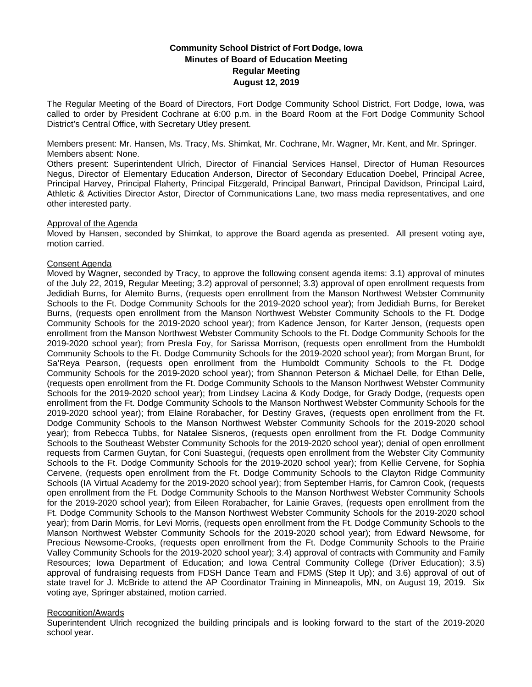# **Community School District of Fort Dodge, Iowa Minutes of Board of Education Meeting Regular Meeting August 12, 2019**

The Regular Meeting of the Board of Directors, Fort Dodge Community School District, Fort Dodge, Iowa, was called to order by President Cochrane at 6:00 p.m. in the Board Room at the Fort Dodge Community School District's Central Office, with Secretary Utley present.

Members present: Mr. Hansen, Ms. Tracy, Ms. Shimkat, Mr. Cochrane, Mr. Wagner, Mr. Kent, and Mr. Springer. Members absent: None.

Others present: Superintendent Ulrich, Director of Financial Services Hansel, Director of Human Resources Negus, Director of Elementary Education Anderson, Director of Secondary Education Doebel, Principal Acree, Principal Harvey, Principal Flaherty, Principal Fitzgerald, Principal Banwart, Principal Davidson, Principal Laird, Athletic & Activities Director Astor, Director of Communications Lane, two mass media representatives, and one other interested party.

## Approval of the Agenda

Moved by Hansen, seconded by Shimkat, to approve the Board agenda as presented. All present voting aye, motion carried.

## Consent Agenda

Moved by Wagner, seconded by Tracy, to approve the following consent agenda items: 3.1) approval of minutes of the July 22, 2019, Regular Meeting; 3.2) approval of personnel; 3.3) approval of open enrollment requests from Jedidiah Burns, for Alemito Burns, (requests open enrollment from the Manson Northwest Webster Community Schools to the Ft. Dodge Community Schools for the 2019-2020 school year); from Jedidiah Burns, for Bereket Burns, (requests open enrollment from the Manson Northwest Webster Community Schools to the Ft. Dodge Community Schools for the 2019-2020 school year); from Kadence Jenson, for Karter Jenson, (requests open enrollment from the Manson Northwest Webster Community Schools to the Ft. Dodge Community Schools for the 2019-2020 school year); from Presla Foy, for Sarissa Morrison, (requests open enrollment from the Humboldt Community Schools to the Ft. Dodge Community Schools for the 2019-2020 school year); from Morgan Brunt, for Sa'Reya Pearson, (requests open enrollment from the Humboldt Community Schools to the Ft. Dodge Community Schools for the 2019-2020 school year); from Shannon Peterson & Michael Delle, for Ethan Delle, (requests open enrollment from the Ft. Dodge Community Schools to the Manson Northwest Webster Community Schools for the 2019-2020 school year); from Lindsey Lacina & Kody Dodge, for Grady Dodge, (requests open enrollment from the Ft. Dodge Community Schools to the Manson Northwest Webster Community Schools for the 2019-2020 school year); from Elaine Rorabacher, for Destiny Graves, (requests open enrollment from the Ft. Dodge Community Schools to the Manson Northwest Webster Community Schools for the 2019-2020 school year); from Rebecca Tubbs, for Natalee Sisneros, (requests open enrollment from the Ft. Dodge Community Schools to the Southeast Webster Community Schools for the 2019-2020 school year); denial of open enrollment requests from Carmen Guytan, for Coni Suastegui, (requests open enrollment from the Webster City Community Schools to the Ft. Dodge Community Schools for the 2019-2020 school year); from Kellie Cervene, for Sophia Cervene, (requests open enrollment from the Ft. Dodge Community Schools to the Clayton Ridge Community Schools (IA Virtual Academy for the 2019-2020 school year); from September Harris, for Camron Cook, (requests open enrollment from the Ft. Dodge Community Schools to the Manson Northwest Webster Community Schools for the 2019-2020 school year); from Eileen Rorabacher, for Lainie Graves, (requests open enrollment from the Ft. Dodge Community Schools to the Manson Northwest Webster Community Schools for the 2019-2020 school year); from Darin Morris, for Levi Morris, (requests open enrollment from the Ft. Dodge Community Schools to the Manson Northwest Webster Community Schools for the 2019-2020 school year); from Edward Newsome, for Precious Newsome-Crooks, (requests open enrollment from the Ft. Dodge Community Schools to the Prairie Valley Community Schools for the 2019-2020 school year); 3.4) approval of contracts with Community and Family Resources; Iowa Department of Education; and Iowa Central Community College (Driver Education); 3.5) approval of fundraising requests from FDSH Dance Team and FDMS (Step It Up); and 3.6) approval of out of state travel for J. McBride to attend the AP Coordinator Training in Minneapolis, MN, on August 19, 2019. Six voting aye, Springer abstained, motion carried.

## Recognition/Awards

Superintendent Ulrich recognized the building principals and is looking forward to the start of the 2019-2020 school year.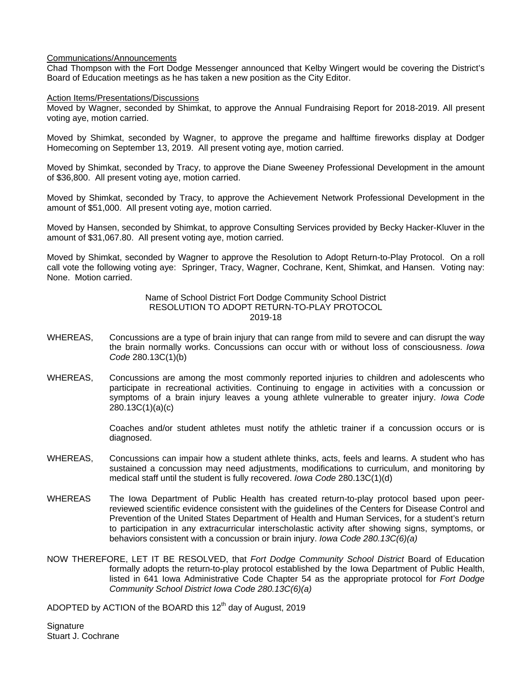## Communications/Announcements

Chad Thompson with the Fort Dodge Messenger announced that Kelby Wingert would be covering the District's Board of Education meetings as he has taken a new position as the City Editor.

## Action Items/Presentations/Discussions

Moved by Wagner, seconded by Shimkat, to approve the Annual Fundraising Report for 2018-2019. All present voting aye, motion carried.

Moved by Shimkat, seconded by Wagner, to approve the pregame and halftime fireworks display at Dodger Homecoming on September 13, 2019. All present voting aye, motion carried.

Moved by Shimkat, seconded by Tracy, to approve the Diane Sweeney Professional Development in the amount of \$36,800. All present voting aye, motion carried.

Moved by Shimkat, seconded by Tracy, to approve the Achievement Network Professional Development in the amount of \$51,000. All present voting aye, motion carried.

Moved by Hansen, seconded by Shimkat, to approve Consulting Services provided by Becky Hacker-Kluver in the amount of \$31,067.80. All present voting aye, motion carried.

Moved by Shimkat, seconded by Wagner to approve the Resolution to Adopt Return-to-Play Protocol. On a roll call vote the following voting aye: Springer, Tracy, Wagner, Cochrane, Kent, Shimkat, and Hansen. Voting nay: None. Motion carried.

## Name of School District Fort Dodge Community School District RESOLUTION TO ADOPT RETURN-TO-PLAY PROTOCOL 2019-18

- WHEREAS, Concussions are a type of brain injury that can range from mild to severe and can disrupt the way the brain normally works. Concussions can occur with or without loss of consciousness. *Iowa Code* 280.13C(1)(b)
- WHEREAS, Concussions are among the most commonly reported injuries to children and adolescents who participate in recreational activities. Continuing to engage in activities with a concussion or symptoms of a brain injury leaves a young athlete vulnerable to greater injury. *Iowa Code* 280.13C(1)(a)(c)

 Coaches and/or student athletes must notify the athletic trainer if a concussion occurs or is diagnosed.

- WHEREAS, Concussions can impair how a student athlete thinks, acts, feels and learns. A student who has sustained a concussion may need adjustments, modifications to curriculum, and monitoring by medical staff until the student is fully recovered. *Iowa Code* 280.13C(1)(d)
- WHEREAS The Iowa Department of Public Health has created return-to-play protocol based upon peerreviewed scientific evidence consistent with the guidelines of the Centers for Disease Control and Prevention of the United States Department of Health and Human Services, for a student's return to participation in any extracurricular interscholastic activity after showing signs, symptoms, or behaviors consistent with a concussion or brain injury. *Iowa Code 280.13C(6)(a)*
- NOW THEREFORE, LET IT BE RESOLVED, that *Fort Dodge Community School District* Board of Education formally adopts the return-to-play protocol established by the Iowa Department of Public Health, listed in 641 Iowa Administrative Code Chapter 54 as the appropriate protocol for *Fort Dodge Community School District Iowa Code 280.13C(6)(a)*

ADOPTED by ACTION of the BOARD this 12<sup>th</sup> day of August, 2019

**Signature** Stuart J. Cochrane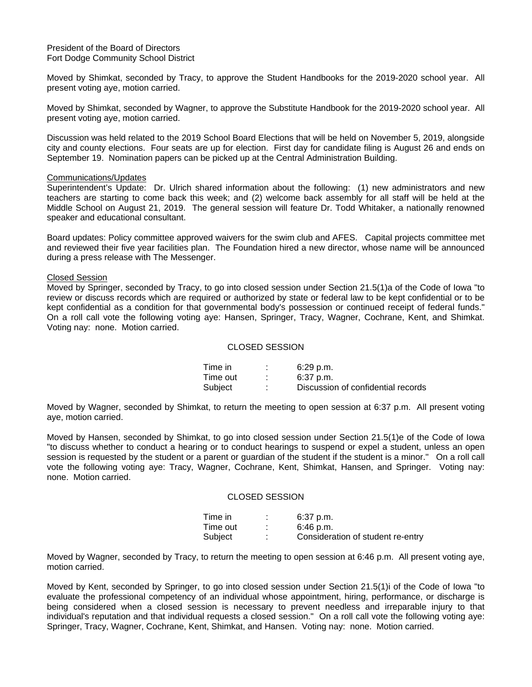President of the Board of Directors Fort Dodge Community School District

Moved by Shimkat, seconded by Tracy, to approve the Student Handbooks for the 2019-2020 school year. All present voting aye, motion carried.

Moved by Shimkat, seconded by Wagner, to approve the Substitute Handbook for the 2019-2020 school year. All present voting aye, motion carried.

Discussion was held related to the 2019 School Board Elections that will be held on November 5, 2019, alongside city and county elections. Four seats are up for election. First day for candidate filing is August 26 and ends on September 19. Nomination papers can be picked up at the Central Administration Building.

#### Communications/Updates

Superintendent's Update: Dr. Ulrich shared information about the following: (1) new administrators and new teachers are starting to come back this week; and (2) welcome back assembly for all staff will be held at the Middle School on August 21, 2019. The general session will feature Dr. Todd Whitaker, a nationally renowned speaker and educational consultant.

Board updates: Policy committee approved waivers for the swim club and AFES. Capital projects committee met and reviewed their five year facilities plan. The Foundation hired a new director, whose name will be announced during a press release with The Messenger.

#### Closed Session

Moved by Springer, seconded by Tracy, to go into closed session under Section 21.5(1)a of the Code of Iowa "to review or discuss records which are required or authorized by state or federal law to be kept confidential or to be kept confidential as a condition for that governmental body's possession or continued receipt of federal funds." On a roll call vote the following voting aye: Hansen, Springer, Tracy, Wagner, Cochrane, Kent, and Shimkat. Voting nay: none. Motion carried.

#### CLOSED SESSION

| Time in  | $6:29$ p.m.                        |
|----------|------------------------------------|
| Time out | $6:37$ p.m.                        |
| Subject  | Discussion of confidential records |

Moved by Wagner, seconded by Shimkat, to return the meeting to open session at 6:37 p.m. All present voting aye, motion carried.

Moved by Hansen, seconded by Shimkat, to go into closed session under Section 21.5(1)e of the Code of Iowa "to discuss whether to conduct a hearing or to conduct hearings to suspend or expel a student, unless an open session is requested by the student or a parent or guardian of the student if the student is a minor." On a roll call vote the following voting aye: Tracy, Wagner, Cochrane, Kent, Shimkat, Hansen, and Springer. Voting nay: none. Motion carried.

#### CLOSED SESSION

| Time in . | 6:37 p.m.                         |
|-----------|-----------------------------------|
| Time out  | 6:46 p.m.                         |
| Subiect   | Consideration of student re-entry |

Moved by Wagner, seconded by Tracy, to return the meeting to open session at 6:46 p.m. All present voting aye, motion carried.

Moved by Kent, seconded by Springer, to go into closed session under Section 21.5(1)i of the Code of Iowa "to evaluate the professional competency of an individual whose appointment, hiring, performance, or discharge is being considered when a closed session is necessary to prevent needless and irreparable injury to that individual's reputation and that individual requests a closed session." On a roll call vote the following voting aye: Springer, Tracy, Wagner, Cochrane, Kent, Shimkat, and Hansen. Voting nay: none. Motion carried.